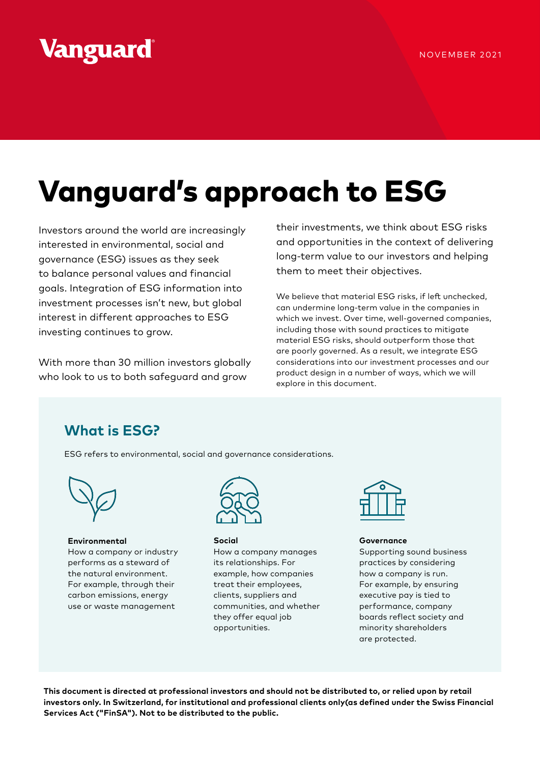## Vanguard

# Vanguard's approach to ESG

Investors around the world are increasingly interested in environmental, social and governance (ESG) issues as they seek to balance personal values and financial goals. Integration of ESG information into investment processes isn't new, but global interest in different approaches to ESG investing continues to grow.

With more than 30 million investors globally who look to us to both safeguard and grow

their investments, we think about ESG risks and opportunities in the context of delivering long-term value to our investors and helping them to meet their objectives.

We believe that material ESG risks, if left unchecked, can undermine long-term value in the companies in which we invest. Over time, well-governed companies, including those with sound practices to mitigate material ESG risks, should outperform those that are poorly governed. As a result, we integrate ESG considerations into our investment processes and our product design in a number of ways, which we will explore in this document.

## **What is ESG?**

ESG refers to environmental, social and governance considerations.



**Environmental** How a company or industry performs as a steward of the natural environment. For example, through their carbon emissions, energy use or waste management



**Social** How a company manages its relationships. For example, how companies treat their employees, clients, suppliers and communities, and whether they offer equal job opportunities.



**Governance**

Supporting sound business practices by considering how a company is run. For example, by ensuring executive pay is tied to performance, company boards reflect society and minority shareholders are protected.

**This document is directed at professional investors and should not be distributed to, or relied upon by retail investors only. In Switzerland, for institutional and professional clients only(as defined under the Swiss Financial Services Act ("FinSA"). Not to be distributed to the public.**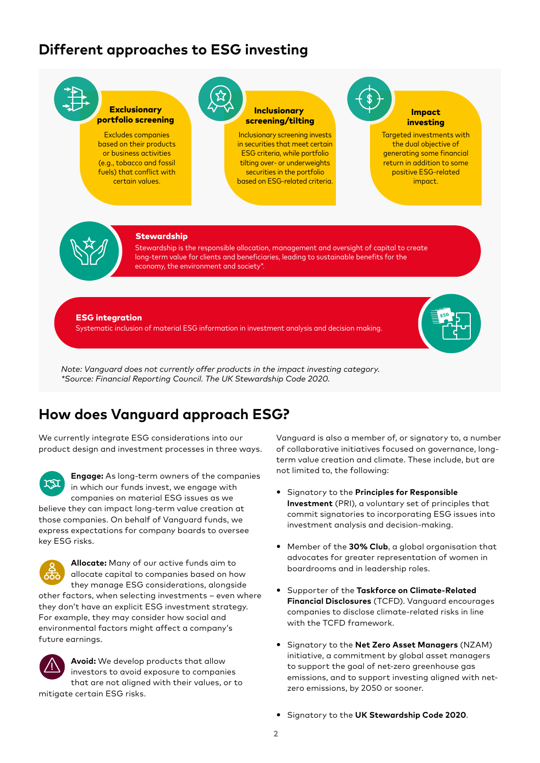### **Different approaches to ESG investing**



## **How does Vanguard approach ESG?**

We currently integrate ESG considerations into our product design and investment processes in three ways.

**Engage:** As long-term owners of the companies XI in which our funds invest, we engage with companies on material ESG issues as we

believe they can impact long-term value creation at those companies. On behalf of Vanguard funds, we express expectations for company boards to oversee key ESG risks.

**Allocate:** Many of our active funds aim to allocate capital to companies based on how they manage ESG considerations, alongside other factors, when selecting investments – even where they don't have an explicit ESG investment strategy. For example, they may consider how social and environmental factors might affect a company's future earnings.



**Avoid:** We develop products that allow investors to avoid exposure to companies that are not aligned with their values, or to mitigate certain ESG risks.

Vanguard is also a member of, or signatory to, a number of collaborative initiatives focused on governance, longterm value creation and climate. These include, but are not limited to, the following:

- y Signatory to the **Principles for Responsible Investment** (PRI), a voluntary set of principles that commit signatories to incorporating ESG issues into investment analysis and decision-making.
- **•** Member of the 30% Club, a global organisation that advocates for greater representation of women in boardrooms and in leadership roles.
- **•** Supporter of the Taskforce on Climate-Related **Financial Disclosures** (TCFD). Vanguard encourages companies to disclose climate-related risks in line with the TCFD framework.
- y Signatory to the **Net Zero Asset Managers** (NZAM) initiative, a commitment by global asset managers to support the goal of net-zero greenhouse gas emissions, and to support investing aligned with netzero emissions, by 2050 or sooner.
- y Signatory to the **UK Stewardship Code 2020**.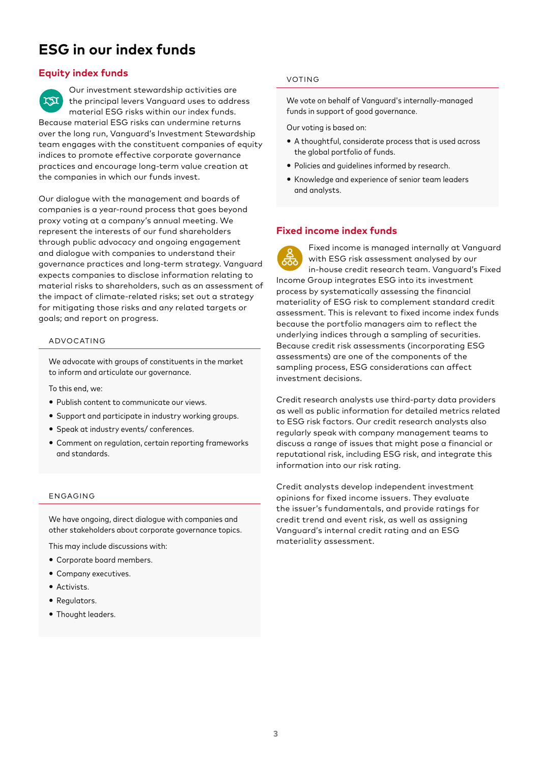## **ESG in our index funds**

#### **Equity index funds**

Our investment stewardship activities are ra the principal levers Vanguard uses to address material ESG risks within our index funds. Because material ESG risks can undermine returns over the long run, Vanguard's Investment Stewardship team engages with the constituent companies of equity indices to promote effective corporate governance practices and encourage long-term value creation at the companies in which our funds invest.

Our dialogue with the management and boards of companies is a year-round process that goes beyond proxy voting at a company's annual meeting. We represent the interests of our fund shareholders through public advocacy and ongoing engagement and dialogue with companies to understand their governance practices and long-term strategy. Vanguard expects companies to disclose information relating to material risks to shareholders, such as an assessment of the impact of climate-related risks; set out a strategy for mitigating those risks and any related targets or goals; and report on progress.

#### ADVOCATING

We advocate with groups of constituents in the market to inform and articulate our governance.

To this end, we:

- Publish content to communicate our views.
- Support and participate in industry working groups.
- Speak at industry events/ conferences.
- Comment on regulation, certain reporting frameworks and standards.

#### ENGAGING

We have ongoing, direct dialogue with companies and other stakeholders about corporate governance topics.

This may include discussions with:

- Corporate board members.
- Company executives.
- Activists.
- Regulators.
- Thought leaders.

#### VOTING

We vote on behalf of Vanguard's internally-managed funds in support of good governance.

Our voting is based on:

- A thoughtful, considerate process that is used across the global portfolio of funds.
- Policies and guidelines informed by research.
- Knowledge and experience of senior team leaders and analysts.

#### **Fixed income index funds**

Fixed income is managed internally at Vanguard with ESG risk assessment analysed by our in-house credit research team. Vanguard's Fixed Income Group integrates ESG into its investment process by systematically assessing the financial materiality of ESG risk to complement standard credit assessment. This is relevant to fixed income index funds because the portfolio managers aim to reflect the underlying indices through a sampling of securities. Because credit risk assessments (incorporating ESG assessments) are one of the components of the sampling process, ESG considerations can affect investment decisions.

Credit research analysts use third-party data providers as well as public information for detailed metrics related to ESG risk factors. Our credit research analysts also regularly speak with company management teams to discuss a range of issues that might pose a financial or reputational risk, including ESG risk, and integrate this information into our risk rating.

Credit analysts develop independent investment opinions for fixed income issuers. They evaluate the issuer's fundamentals, and provide ratings for credit trend and event risk, as well as assigning Vanguard's internal credit rating and an ESG materiality assessment.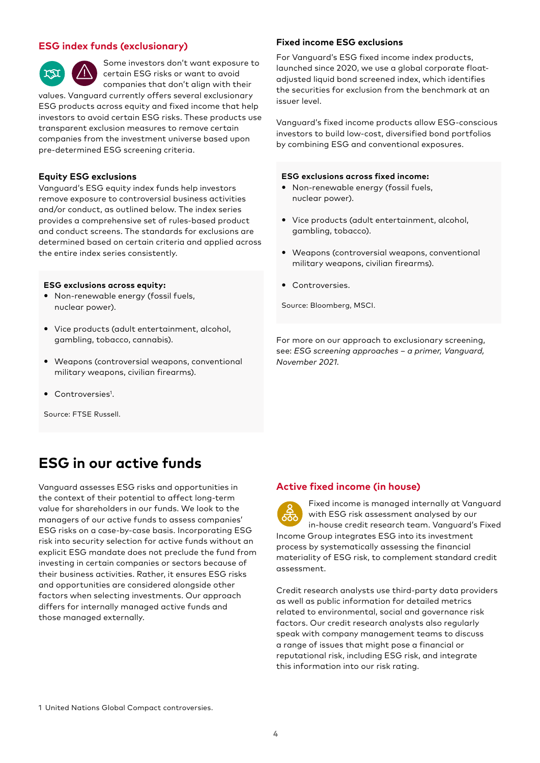#### **ESG index funds (exclusionary)**



Some investors don't want exposure to certain ESG risks or want to avoid companies that don't align with their

values. Vanguard currently offers several exclusionary ESG products across equity and fixed income that help investors to avoid certain ESG risks. These products use transparent exclusion measures to remove certain companies from the investment universe based upon pre-determined ESG screening criteria.

#### **Equity ESG exclusions**

Vanguard's ESG equity index funds help investors remove exposure to controversial business activities and/or conduct, as outlined below. The index series provides a comprehensive set of rules-based product and conduct screens. The standards for exclusions are determined based on certain criteria and applied across the entire index series consistently.

#### **ESG exclusions across equity:**

- Non-renewable energy (fossil fuels, nuclear power).
- Vice products (adult entertainment, alcohol, gambling, tobacco, cannabis).
- Weapons (controversial weapons, conventional military weapons, civilian firearms).
- Controversies<sup>1</sup>.

Source: FTSE Russell.

## **ESG in our active funds**

Vanguard assesses ESG risks and opportunities in the context of their potential to affect long-term value for shareholders in our funds. We look to the managers of our active funds to assess companies' ESG risks on a case-by-case basis. Incorporating ESG risk into security selection for active funds without an explicit ESG mandate does not preclude the fund from investing in certain companies or sectors because of their business activities. Rather, it ensures ESG risks and opportunities are considered alongside other factors when selecting investments. Our approach differs for internally managed active funds and those managed externally.

#### **Fixed income ESG exclusions**

For Vanguard's ESG fixed income index products, launched since 2020, we use a global corporate floatadjusted liquid bond screened index, which identifies the securities for exclusion from the benchmark at an issuer level.

Vanguard's fixed income products allow ESG-conscious investors to build low-cost, diversified bond portfolios by combining ESG and conventional exposures.

#### **ESG exclusions across fixed income:**

- Non-renewable energy (fossil fuels, nuclear power).
- Vice products (adult entertainment, alcohol, gambling, tobacco).
- Weapons (controversial weapons, conventional military weapons, civilian firearms).
- Controversies.

Source: Bloomberg, MSCI.

For more on our approach to exclusionary screening, see: *ESG screening approaches – a primer, Vanguard, November 2021.*

#### **Active fixed income (in house)**



Fixed income is managed internally at Vanguard with ESG risk assessment analysed by our in-house credit research team. Vanguard's Fixed Income Group integrates ESG into its investment process by systematically assessing the financial materiality of ESG risk, to complement standard credit assessment.

Credit research analysts use third-party data providers as well as public information for detailed metrics related to environmental, social and governance risk factors. Our credit research analysts also regularly speak with company management teams to discuss a range of issues that might pose a financial or reputational risk, including ESG risk, and integrate this information into our risk rating.

1 United Nations Global Compact controversies.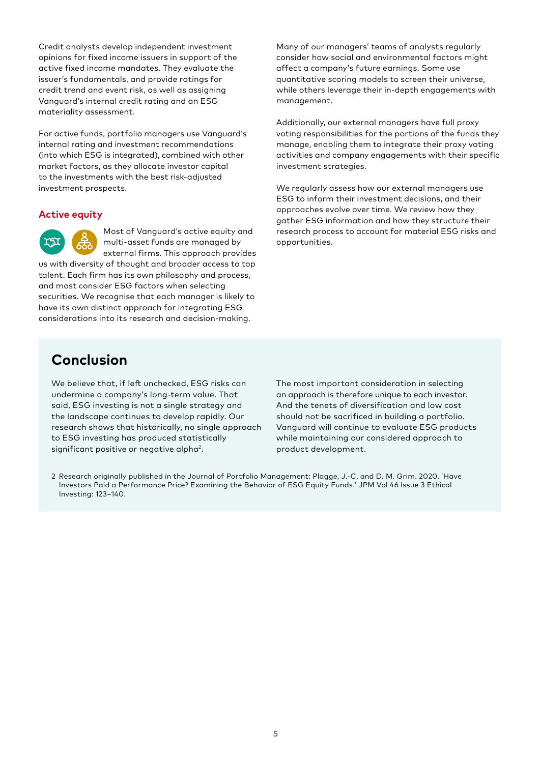Credit analysts develop independent investment opinions for fixed income issuers in support of the active fixed income mandates. They evaluate the issuer's fundamentals, and provide ratings for credit trend and event risk, as well as assigning Vanguard's internal credit rating and an ESG materiality assessment.

For active funds, portfolio managers use Vanguard's internal rating and investment recommendations (into which ESG is integrated), combined with other market factors, as they allocate investor capital to the investments with the best risk-adjusted investment prospects.

#### **Active equity**

Most of Vanguard's active equity and multi-asset funds are managed by external firms. This approach provides

us with diversity of thought and broader access to top talent. Each firm has its own philosophy and process, and most consider ESG factors when selecting securities. We recognise that each manager is likely to have its own distinct approach for integrating ESG considerations into its research and decision-making.

Many of our managers' teams of analysts regularly consider how social and environmental factors might affect a company's future earnings. Some use quantitative scoring models to screen their universe, while others leverage their in-depth engagements with management.

Additionally, our external managers have full proxy voting responsibilities for the portions of the funds they manage, enabling them to integrate their proxy voting activities and company engagements with their specific investment strategies.

We regularly assess how our external managers use ESG to inform their investment decisions, and their approaches evolve over time. We review how they gather ESG information and how they structure their research process to account for material ESG risks and opportunities.

#### **Conclusion**

We believe that, if left unchecked, ESG risks can undermine a company's long-term value. That said, ESG investing is not a single strategy and the landscape continues to develop rapidly. Our research shows that historically, no single approach to ESG investing has produced statistically significant positive or negative alpha<sup>2</sup>.

The most important consideration in selecting an approach is therefore unique to each investor. And the tenets of diversification and low cost should not be sacrificed in building a portfolio. Vanguard will continue to evaluate ESG products while maintaining our considered approach to product development.

2 Research originally published in the Journal of Portfolio Management: Plagge, J.-C. and D. M. Grim. 2020. 'Have Investors Paid a Performance Price? Examining the Behavior of ESG Equity Funds.' JPM Vol 46 Issue 3 Ethical Investing: 123–140.